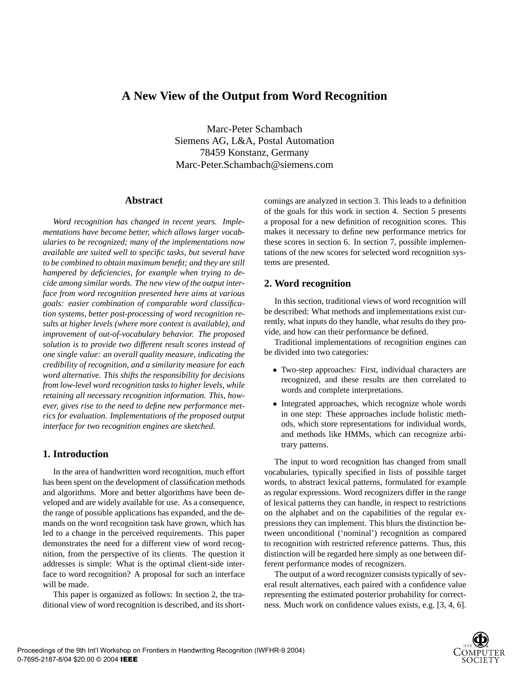# **A New View of the Output from Word Recognition**

Marc-Peter Schambach Siemens AG, L&A, Postal Automation 78459 Konstanz, Germany Marc-Peter.Schambach@siemens.com

### **Abstract**

*Word recognition has changed in recent years. Implementations have become better, which allows larger vocabularies to be recognized; many of the implementations now available are suited well to specific tasks, but several have to be combined to obtain maximum benefit; and they are still hampered by deficiencies, for example when trying to decide among similar words. The new view of the output interface from word recognition presented here aims at various goals: easier combination of comparable word classification systems, better post-processing of word recognition results at higher levels (where more context is available), and improvement of out-of-vocabulary behavior. The proposed solution is to provide two different result scores instead of one single value: an overall quality measure, indicating the credibility of recognition, and a similarity measure for each word alternative. This shifts the responsibility for decisions from low-level word recognition tasks to higher levels, while retaining all necessary recognition information. This, however, gives rise to the need to define new performance metrics for evaluation. Implementations of the proposed output interface for two recognition engines are sketched.*

## **1. Introduction**

In the area of handwritten word recognition, much effort has been spent on the development of classification methods and algorithms. More and better algorithms have been developed and are widely available for use. As a consequence, the range of possible applications has expanded, and the demands on the word recognition task have grown, which has led to a change in the perceived requirements. This paper demonstrates the need for a different view of word recognition, from the perspective of its clients. The question it addresses is simple: What is the optimal client-side interface to word recognition? A proposal for such an interface will be made.

This paper is organized as follows: In section 2, the traditional view of word recognition is described, and its shortcomings are analyzed in section 3. This leads to a definition of the goals for this work in section 4. Section 5 presents a proposal for a new definition of recognition scores. This makes it necessary to define new performance metrics for these scores in section 6. In section 7, possible implementations of the new scores for selected word recognition systems are presented.

## **2. Word recognition**

In this section, traditional views of word recognition will be described: What methods and implementations exist currently, what inputs do they handle, what results do they provide, and how can their performance be defined.

Traditional implementations of recognition engines can be divided into two categories:

- Two-step approaches: First, individual characters are recognized, and these results are then correlated to words and complete interpretations.
- Integrated approaches, which recognize whole words in one step: These approaches include holistic methods, which store representations for individual words, and methods like HMMs, which can recognize arbitrary patterns.

The input to word recognition has changed from small vocabularies, typically specified in lists of possible target words, to abstract lexical patterns, formulated for example as regular expressions. Word recognizers differ in the range of lexical patterns they can handle, in respect to restrictions on the alphabet and on the capabilities of the regular expressions they can implement. This blurs the distinction between unconditional ('nominal') recognition as compared to recognition with restricted reference patterns. Thus, this distinction will be regarded here simply as one between different performance modes of recognizers.

The output of a word recognizer consists typically of several result alternatives, each paired with a confidence value representing the estimated posterior probability for correctness. Much work on confidence values exists, e.g. [3, 4, 6].

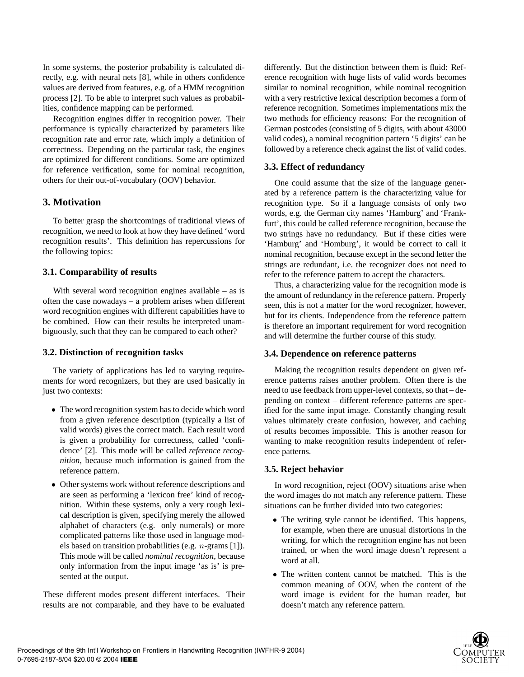In some systems, the posterior probability is calculated directly, e.g. with neural nets [8], while in others confidence values are derived from features, e.g. of a HMM recognition process [2]. To be able to interpret such values as probabilities, confidence mapping can be performed.

Recognition engines differ in recognition power. Their performance is typically characterized by parameters like recognition rate and error rate, which imply a definition of correctness. Depending on the particular task, the engines are optimized for different conditions. Some are optimized for reference verification, some for nominal recognition, others for their out-of-vocabulary (OOV) behavior.

## **3. Motivation**

To better grasp the shortcomings of traditional views of recognition, we need to look at how they have defined 'word recognition results'. This definition has repercussions for the following topics:

### **3.1. Comparability of results**

With several word recognition engines available  $-$  as is often the case nowadays – a problem arises when different word recognition engines with different capabilities have to be combined. How can their results be interpreted unambiguously, such that they can be compared to each other?

### **3.2. Distinction of recognition tasks**

The variety of applications has led to varying requirements for word recognizers, but they are used basically in just two contexts:

- The word recognition system has to decide which word from a given reference description (typically a list of valid words) gives the correct match. Each result word is given a probability for correctness, called 'confidence' [2]. This mode will be called *reference recognition*, because much information is gained from the reference pattern.
- Other systems work without reference descriptions and are seen as performing a 'lexicon free' kind of recognition. Within these systems, only a very rough lexical description is given, specifying merely the allowed alphabet of characters (e.g. only numerals) or more complicated patterns like those used in language models based on transition probabilities (e.g. n-grams [1]). This mode will be called *nominal recognition*, because only information from the input image 'as is' is presented at the output.

These different modes present different interfaces. Their results are not comparable, and they have to be evaluated differently. But the distinction between them is fluid: Reference recognition with huge lists of valid words becomes similar to nominal recognition, while nominal recognition with a very restrictive lexical description becomes a form of reference recognition. Sometimes implementations mix the two methods for efficiency reasons: For the recognition of German postcodes (consisting of 5 digits, with about 43000 valid codes), a nominal recognition pattern '5 digits' can be followed by a reference check against the list of valid codes.

## **3.3. Effect of redundancy**

One could assume that the size of the language generated by a reference pattern is the characterizing value for recognition type. So if a language consists of only two words, e.g. the German city names 'Hamburg' and 'Frankfurt', this could be called reference recognition, because the two strings have no redundancy. But if these cities were 'Hamburg' and 'Homburg', it would be correct to call it nominal recognition, because except in the second letter the strings are redundant, i.e. the recognizer does not need to refer to the reference pattern to accept the characters.

Thus, a characterizing value for the recognition mode is the amount of redundancy in the reference pattern. Properly seen, this is not a matter for the word recognizer, however, but for its clients. Independence from the reference pattern is therefore an important requirement for word recognition and will determine the further course of this study.

### **3.4. Dependence on reference patterns**

Making the recognition results dependent on given reference patterns raises another problem. Often there is the need to use feedback from upper-level contexts, so that – depending on context – different reference patterns are specified for the same input image. Constantly changing result values ultimately create confusion, however, and caching of results becomes impossible. This is another reason for wanting to make recognition results independent of reference patterns.

### **3.5. Reject behavior**

In word recognition, reject (OOV) situations arise when the word images do not match any reference pattern. These situations can be further divided into two categories:

- The writing style cannot be identified. This happens, for example, when there are unusual distortions in the writing, for which the recognition engine has not been trained, or when the word image doesn't represent a word at all.
- The written content cannot be matched. This is the common meaning of OOV, when the content of the word image is evident for the human reader, but doesn't match any reference pattern.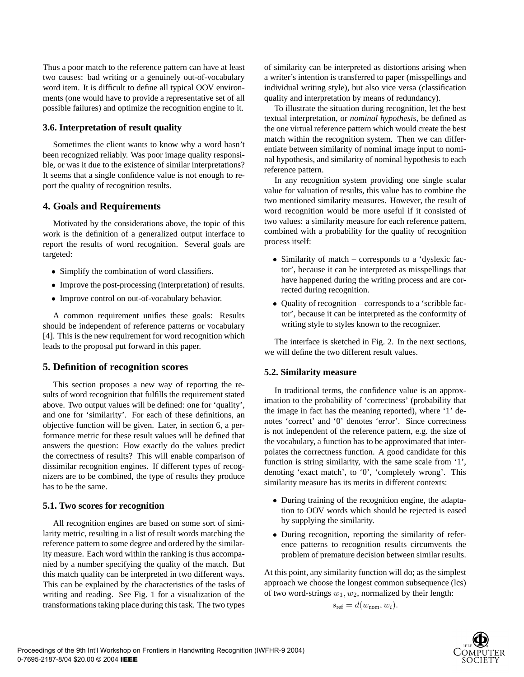Thus a poor match to the reference pattern can have at least two causes: bad writing or a genuinely out-of-vocabulary word item. It is difficult to define all typical OOV environments (one would have to provide a representative set of all possible failures) and optimize the recognition engine to it.

## **3.6. Interpretation of result quality**

Sometimes the client wants to know why a word hasn't been recognized reliably. Was poor image quality responsible, or was it due to the existence of similar interpretations? It seems that a single confidence value is not enough to report the quality of recognition results.

## **4. Goals and Requirements**

Motivated by the considerations above, the topic of this work is the definition of a generalized output interface to report the results of word recognition. Several goals are targeted:

- Simplify the combination of word classifiers.
- Improve the post-processing (interpretation) of results.
- Improve control on out-of-vocabulary behavior.

A common requirement unifies these goals: Results should be independent of reference patterns or vocabulary [4]. This is the new requirement for word recognition which leads to the proposal put forward in this paper.

## **5. Definition of recognition scores**

This section proposes a new way of reporting the results of word recognition that fulfills the requirement stated above. Two output values will be defined: one for 'quality', and one for 'similarity'. For each of these definitions, an objective function will be given. Later, in section 6, a performance metric for these result values will be defined that answers the question: How exactly do the values predict the correctness of results? This will enable comparison of dissimilar recognition engines. If different types of recognizers are to be combined, the type of results they produce has to be the same.

### **5.1. Two scores for recognition**

All recognition engines are based on some sort of similarity metric, resulting in a list of result words matching the reference pattern to some degree and ordered by the similarity measure. Each word within the ranking is thus accompanied by a number specifying the quality of the match. But this match quality can be interpreted in two different ways. This can be explained by the characteristics of the tasks of writing and reading. See Fig. 1 for a visualization of the transformations taking place during this task. The two types of similarity can be interpreted as distortions arising when a writer's intention is transferred to paper (misspellings and individual writing style), but also vice versa (classification quality and interpretation by means of redundancy).

To illustrate the situation during recognition, let the best textual interpretation, or *nominal hypothesis*, be defined as the one virtual reference pattern which would create the best match within the recognition system. Then we can differentiate between similarity of nominal image input to nominal hypothesis, and similarity of nominal hypothesis to each reference pattern.

In any recognition system providing one single scalar value for valuation of results, this value has to combine the two mentioned similarity measures. However, the result of word recognition would be more useful if it consisted of two values: a similarity measure for each reference pattern, combined with a probability for the quality of recognition process itself:

- Similarity of match corresponds to a 'dyslexic factor', because it can be interpreted as misspellings that have happened during the writing process and are corrected during recognition.
- Quality of recognition corresponds to a 'scribble factor', because it can be interpreted as the conformity of writing style to styles known to the recognizer.

The interface is sketched in Fig. 2. In the next sections, we will define the two different result values.

### **5.2. Similarity measure**

In traditional terms, the confidence value is an approximation to the probability of 'correctness' (probability that the image in fact has the meaning reported), where '1' denotes 'correct' and '0' denotes 'error'. Since correctness is not independent of the reference pattern, e.g. the size of the vocabulary, a function has to be approximated that interpolates the correctness function. A good candidate for this function is string similarity, with the same scale from '1', denoting 'exact match', to '0', 'completely wrong'. This similarity measure has its merits in different contexts:

- During training of the recognition engine, the adaptation to OOV words which should be rejected is eased by supplying the similarity.
- During recognition, reporting the similarity of reference patterns to recognition results circumvents the problem of premature decision between similar results.

At this point, any similarity function will do; as the simplest approach we choose the longest common subsequence (lcs) of two word-strings  $w_1, w_2$ , normalized by their length:

$$
s_{\text{ref}} = d(w_{\text{nom}}, w_i).
$$

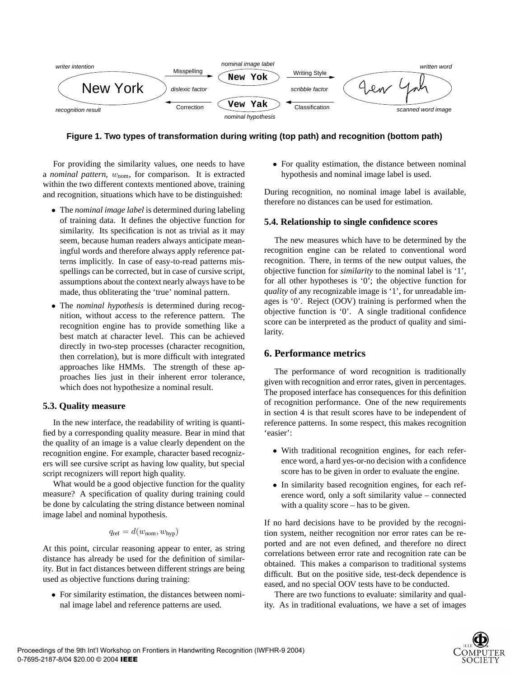

**Figure 1. Two types of transformation during writing (top path) and recognition (bottom path)**

For providing the similarity values, one needs to have a *nominal pattern*,  $w_{\text{nom}}$ , for comparison. It is extracted within the two different contexts mentioned above, training and recognition, situations which have to be distinguished:

- The *nominal image label* is determined during labeling of training data. It defines the objective function for similarity. Its specification is not as trivial as it may seem, because human readers always anticipate meaningful words and therefore always apply reference patterns implicitly. In case of easy-to-read patterns misspellings can be corrected, but in case of cursive script, assumptions about the context nearly always have to be made, thus obliterating the 'true' nominal pattern.
- The *nominal hypothesis* is determined during recognition, without access to the reference pattern. The recognition engine has to provide something like a best match at character level. This can be achieved directly in two-step processes (character recognition, then correlation), but is more difficult with integrated approaches like HMMs. The strength of these approaches lies just in their inherent error tolerance, which does not hypothesize a nominal result.

### **5.3. Quality measure**

In the new interface, the readability of writing is quantified by a corresponding quality measure. Bear in mind that the quality of an image is a value clearly dependent on the recognition engine. For example, character based recognizers will see cursive script as having low quality, but special script recognizers will report high quality.

What would be a good objective function for the quality measure? A specification of quality during training could be done by calculating the string distance between nominal image label and nominal hypothesis.

$$
q_{\rm ref} = d(w_{\rm nom}, w_{\rm hyp})
$$

At this point, circular reasoning appear to enter, as string distance has already be used for the definition of similarity. But in fact distances between different strings are being used as objective functions during training:

• For similarity estimation, the distances between nominal image label and reference patterns are used.

• For quality estimation, the distance between nominal hypothesis and nominal image label is used.

During recognition, no nominal image label is available, therefore no distances can be used for estimation.

#### **5.4. Relationship to single confidence scores**

The new measures which have to be determined by the recognition engine can be related to conventional word recognition. There, in terms of the new output values, the objective function for *similarity* to the nominal label is '1', for all other hypotheses is '0'; the objective function for *quality* of any recognizable image is '1', for unreadable images is '0'. Reject (OOV) training is performed when the objective function is '0'. A single traditional confidence score can be interpreted as the product of quality and similarity.

### **6. Performance metrics**

The performance of word recognition is traditionally given with recognition and error rates, given in percentages. The proposed interface has consequences for this definition of recognition performance. One of the new requirements in section 4 is that result scores have to be independent of reference patterns. In some respect, this makes recognition 'easier':

- With traditional recognition engines, for each reference word, a hard yes-or-no decision with a confidence score has to be given in order to evaluate the engine.
- In similarity based recognition engines, for each reference word, only a soft similarity value – connected with a quality score – has to be given.

If no hard decisions have to be provided by the recognition system, neither recognition nor error rates can be reported and are not even defined, and therefore no direct correlations between error rate and recognition rate can be obtained. This makes a comparison to traditional systems difficult. But on the positive side, test-deck dependence is eased, and no special OOV tests have to be conducted.

There are two functions to evaluate: similarity and quality. As in traditional evaluations, we have a set of images

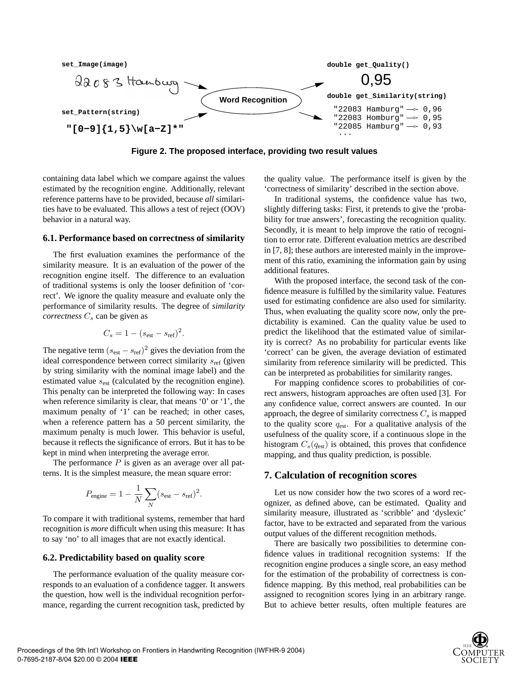

**Figure 2. The proposed interface, providing two result values**

containing data label which we compare against the values estimated by the recognition engine. Additionally, relevant reference patterns have to be provided, because *all* similarities have to be evaluated. This allows a test of reject (OOV) behavior in a natural way.

#### **6.1. Performance based on correctness of similarity**

The first evaluation examines the performance of the similarity measure. It is an evaluation of the power of the recognition engine itself. The difference to an evaluation of traditional systems is only the looser definition of 'correct'. We ignore the quality measure and evaluate only the performance of similarity results. The degree of *similarity correctness*  $C_s$  can be given as

$$
C_s = 1 - (s_{\text{est}} - s_{\text{ref}})^2.
$$

The negative term  $(s_{est} - s_{ref})^2$  gives the deviation from the ideal correspondence between correct similarity  $s_{\text{ref}}$  (given by string similarity with the nominal image label) and the estimated value  $s_{est}$  (calculated by the recognition engine). This penalty can be interpreted the following way: In cases when reference similarity is clear, that means '0' or '1', the maximum penalty of '1' can be reached; in other cases, when a reference pattern has a 50 percent similarity, the maximum penalty is much lower. This behavior is useful, because it reflects the significance of errors. But it has to be kept in mind when interpreting the average error.

The performance  $P$  is given as an average over all patterns. It is the simplest measure, the mean square error:

$$
P_{\text{engine}} = 1 - \frac{1}{N} \sum_{N} (s_{\text{est}} - s_{\text{ref}})^2.
$$

To compare it with traditional systems, remember that hard recognition is *more* difficult when using this measure: It has to say 'no' to all images that are not exactly identical.

#### **6.2. Predictability based on quality score**

The performance evaluation of the quality measure corresponds to an evaluation of a confidence tagger. It answers the question, how well is the individual recognition performance, regarding the current recognition task, predicted by the quality value. The performance itself is given by the 'correctness of similarity' described in the section above.

In traditional systems, the confidence value has two, slightly differing tasks: First, it pretends to give the 'probability for true answers', forecasting the recognition quality. Secondly, it is meant to help improve the ratio of recognition to error rate. Different evaluation metrics are described in [7, 8]; these authors are interested mainly in the improvement of this ratio, examining the information gain by using additional features.

With the proposed interface, the second task of the confidence measure is fulfilled by the similarity value. Features used for estimating confidence are also used for similarity. Thus, when evaluating the quality score now, only the predictability is examined. Can the quality value be used to predict the likelihood that the estimated value of similarity is correct? As no probability for particular events like 'correct' can be given, the average deviation of estimated similarity from reference similarity will be predicted. This can be interpreted as probabilities for similarity ranges.

For mapping confidence scores to probabilities of correct answers, histogram approaches are often used [3]. For any confidence value, correct answers are counted. In our approach, the degree of similarity correctness  $C_s$  is mapped to the quality score  $q_{est}$ . For a qualitative analysis of the usefulness of the quality score, if a continuous slope in the histogram  $C_s(q_{est})$  is obtained, this proves that confidence mapping, and thus quality prediction, is possible.

#### **7. Calculation of recognition scores**

Let us now consider how the two scores of a word recognizer, as defined above, can be estimated. Quality and similarity measure, illustrated as 'scribble' and 'dyslexic' factor, have to be extracted and separated from the various output values of the different recognition methods.

There are basically two possibilities to determine confidence values in traditional recognition systems: If the recognition engine produces a single score, an easy method for the estimation of the probability of correctness is confidence mapping. By this method, real probabilities can be assigned to recognition scores lying in an arbitrary range. But to achieve better results, often multiple features are